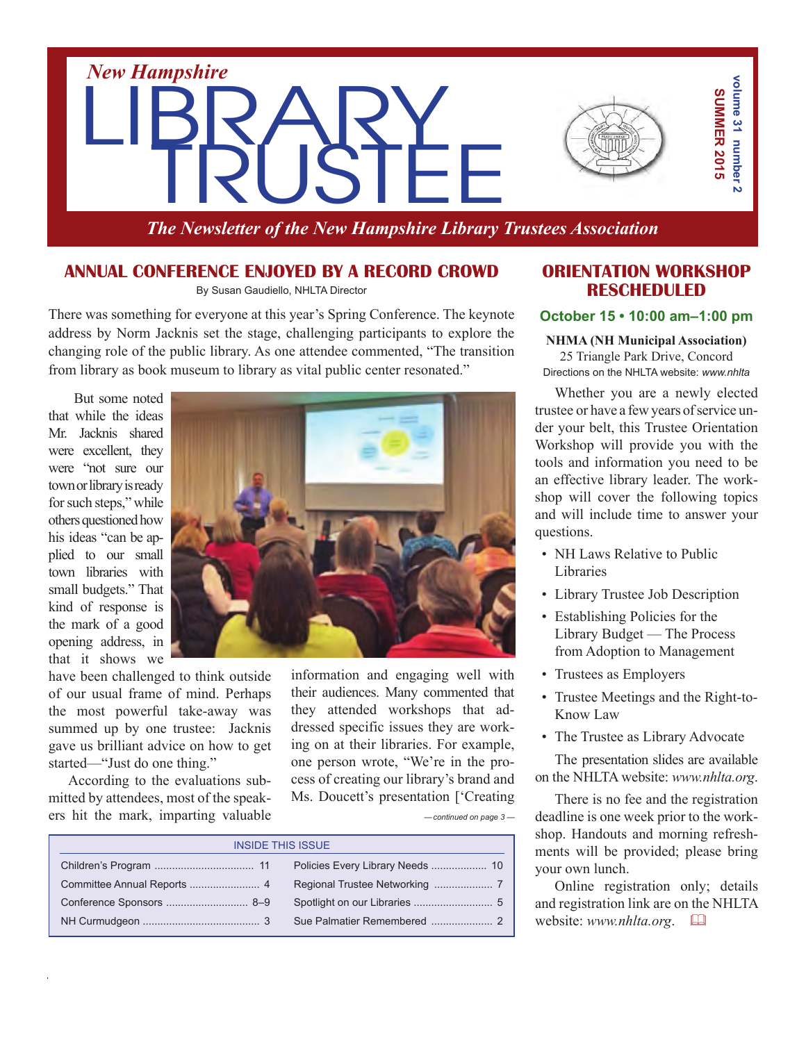

*The Newsletter of the New Hampshire Library Trustees Association*

## **Annual Conference Enjoyed by a Record Crowd**

By Susan Gaudiello, NHLTA Director

There was something for everyone at this year's Spring Conference. The keynote address by Norm Jacknis set the stage, challenging participants to explore the changing role of the public library. As one attendee commented, "The transition from library as book museum to library as vital public center resonated."

But some noted that while the ideas Mr. Jacknis shared were excellent, they were "not sure our town or library is ready for such steps," while others questioned how his ideas "can be applied to our small town libraries with small budgets." That kind of response is the mark of a good opening address, in that it shows we



have been challenged to think outside of our usual frame of mind. Perhaps the most powerful take-away was summed up by one trustee: Jacknis gave us brilliant advice on how to get started—"Just do one thing."

According to the evaluations submitted by attendees, most of the speakers hit the mark, imparting valuable information and engaging well with their audiences. Many commented that they attended workshops that addressed specific issues they are working on at their libraries. For example, one person wrote, "We're in the process of creating our library's brand and Ms. Doucett's presentation ['Creating

*— continued on page 3 —*

| <b>INSIDE THIS ISSUE</b> |  |  |
|--------------------------|--|--|
|                          |  |  |
|                          |  |  |
|                          |  |  |
|                          |  |  |

## **Orientation Workshop Rescheduled**

#### **October 15 • 10:00 am–1:00 pm**

**NHMA (NH Municipal Association)** 25 Triangle Park Drive, Concord

Directions on the NHLTA website: *www.nhlta*

Whether you are a newly elected trustee or have a few years of service under your belt, this Trustee Orientation Workshop will provide you with the tools and information you need to be an effective library leader. The workshop will cover the following topics and will include time to answer your questions.

- NH Laws Relative to Public Libraries
- Library Trustee Job Description
- Establishing Policies for the Library Budget — The Process from Adoption to Management
- Trustees as Employers
- Trustee Meetings and the Right-to-Know Law
- The Trustee as Library Advocate

The presentation slides are available on the NHLTA website: *www.nhlta.org*.

There is no fee and the registration deadline is one week prior to the workshop. Handouts and morning refreshments will be provided; please bring your own lunch.

Online registration only; details and registration link are on the NHLTA website: *www.nhlta.org*. &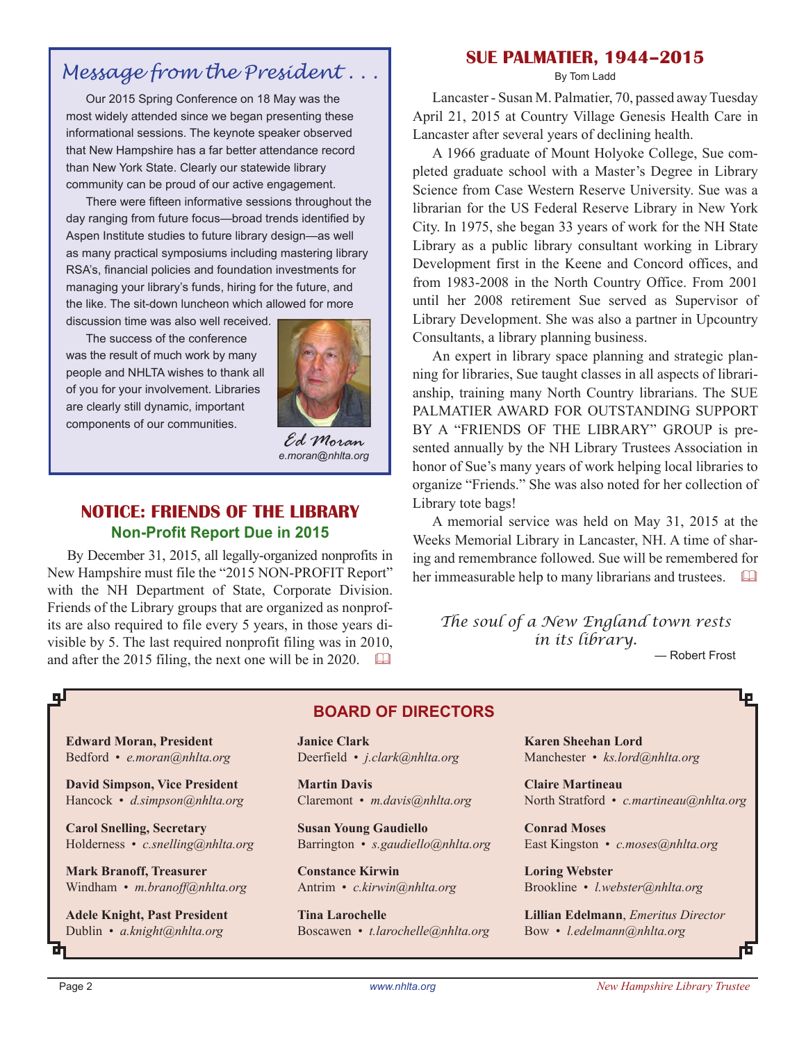# *Message from the President . . .*

Our 2015 Spring Conference on 18 May was the most widely attended since we began presenting these informational sessions. The keynote speaker observed that New Hampshire has a far better attendance record than New York State. Clearly our statewide library community can be proud of our active engagement.

There were fifteen informative sessions throughout the day ranging from future focus—broad trends identified by Aspen Institute studies to future library design—as well as many practical symposiums including mastering library RSA's, financial policies and foundation investments for managing your library's funds, hiring for the future, and the like. The sit-down luncheon which allowed for more discussion time was also well received.

The success of the conference

was the result of much work by many people and NHLTA wishes to thank all of you for your involvement. Libraries are clearly still dynamic, important components of our communities.



*Ed Moran e.moran@nhlta.org*

## **notice: FRIENDS OF THE LIBRARY Non-Profit Report Due in 2015**

By December 31, 2015, all legally-organized nonprofits in New Hampshire must file the "2015 NON-PROFIT Report" with the NH Department of State, Corporate Division. Friends of the Library groups that are organized as nonprofits are also required to file every 5 years, in those years divisible by 5. The last required nonprofit filing was in 2010, and after the 2015 filing, the next one will be in 2020.  $\Box$ 

## **Sue Palmatier, 1944–2015**

By Tom Ladd

Lancaster - Susan M. Palmatier, 70, passed away Tuesday April 21, 2015 at Country Village Genesis Health Care in Lancaster after several years of declining health.

A 1966 graduate of Mount Holyoke College, Sue completed graduate school with a Master's Degree in Library Science from Case Western Reserve University. Sue was a librarian for the US Federal Reserve Library in New York City. In 1975, she began 33 years of work for the NH State Library as a public library consultant working in Library Development first in the Keene and Concord offices, and from 1983-2008 in the North Country Office. From 2001 until her 2008 retirement Sue served as Supervisor of Library Development. She was also a partner in Upcountry Consultants, a library planning business.

An expert in library space planning and strategic planning for libraries, Sue taught classes in all aspects of librarianship, training many North Country librarians. The SUE PALMATIER AWARD FOR OUTSTANDING SUPPORT BY A "FRIENDS OF THE LIBRARY" GROUP is presented annually by the NH Library Trustees Association in honor of Sue's many years of work helping local libraries to organize "Friends." She was also noted for her collection of Library tote bags!

A memorial service was held on May 31, 2015 at the Weeks Memorial Library in Lancaster, NH. A time of sharing and remembrance followed. Sue will be remembered for her immeasurable help to many librarians and trustees.  $\Box$ 

*The soul of a New England town rests in its library.*

— Robert Frost

**Edward Moran, President** Bedford • *e.moran@nhlta.org*

**David Simpson, Vice President** Hancock • *d.simpson@nhlta.org*

**Carol Snelling, Secretary** Holderness • *c.snelling@nhlta.org*

**Mark Branoff, Treasurer** Windham • *m.branoff@nhlta.org*

**Adele Knight, Past President** Dublin • *a.knight@nhlta.org*

## **BOARD of directors**

**Janice Clark** Deerfield • *j.clark@nhlta.org*

**Martin Davis** Claremont • *m.davis@nhlta.org*

**Susan Young Gaudiello** Barrington • *s.gaudiello@nhlta.org*

**Constance Kirwin** Antrim • *c.kirwin@nhlta.org*

**Tina Larochelle** Boscawen • *t.larochelle@nhlta.org* **Karen Sheehan Lord** Manchester • *ks.lord@nhlta.org*

**Claire Martineau** North Stratford • *c.martineau@nhlta.org*

**Conrad Moses** East Kingston • *c.moses@nhlta.org*

**Loring Webster** Brookline • *l.webster@nhlta.org*

**Lillian Edelmann**, *Emeritus Director* Bow • *l.edelmann@nhlta.org*

цJ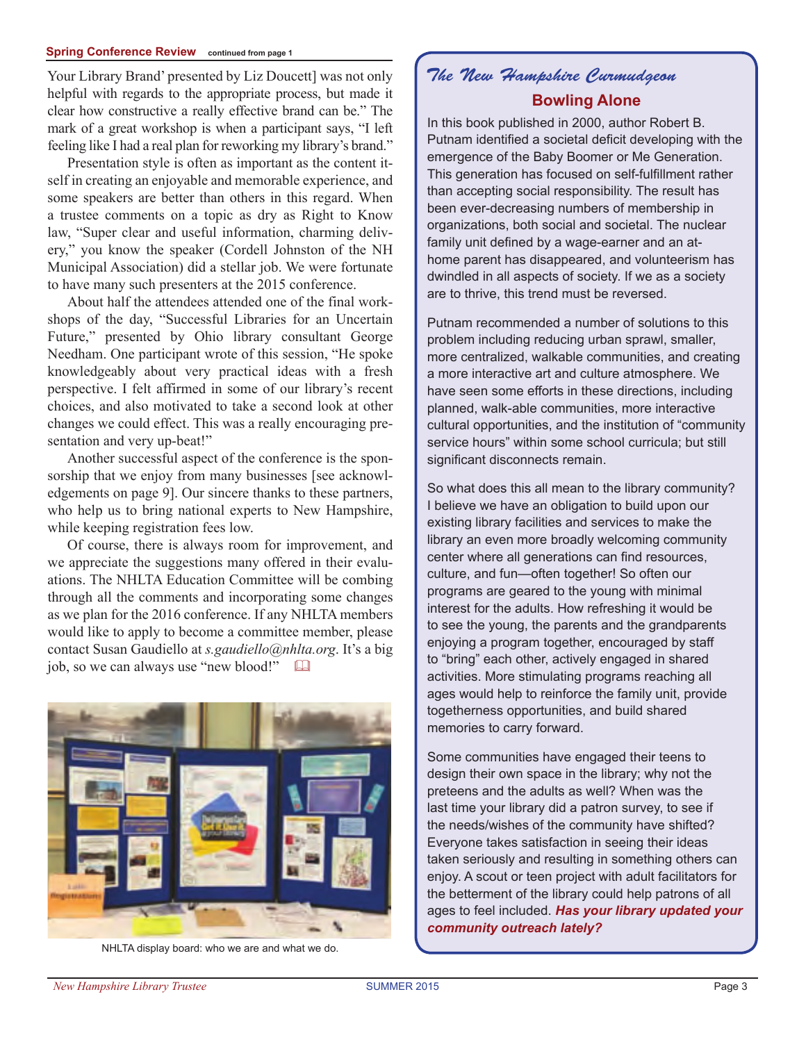#### **Spring Conference Review continued from page 1**

Your Library Brand' presented by Liz Doucett] was not only helpful with regards to the appropriate process, but made it clear how constructive a really effective brand can be." The mark of a great workshop is when a participant says, "I left feeling like I had a real plan for reworking my library's brand."

Presentation style is often as important as the content itself in creating an enjoyable and memorable experience, and some speakers are better than others in this regard. When a trustee comments on a topic as dry as Right to Know law, "Super clear and useful information, charming delivery," you know the speaker (Cordell Johnston of the NH Municipal Association) did a stellar job. We were fortunate to have many such presenters at the 2015 conference.

About half the attendees attended one of the final workshops of the day, "Successful Libraries for an Uncertain Future," presented by Ohio library consultant George Needham. One participant wrote of this session, "He spoke knowledgeably about very practical ideas with a fresh perspective. I felt affirmed in some of our library's recent choices, and also motivated to take a second look at other changes we could effect. This was a really encouraging presentation and very up-beat!"

Another successful aspect of the conference is the sponsorship that we enjoy from many businesses [see acknowledgements on page 9]. Our sincere thanks to these partners, who help us to bring national experts to New Hampshire, while keeping registration fees low.

Of course, there is always room for improvement, and we appreciate the suggestions many offered in their evaluations. The NHLTA Education Committee will be combing through all the comments and incorporating some changes as we plan for the 2016 conference. If any NHLTA members would like to apply to become a committee member, please contact Susan Gaudiello at *s.gaudiello@nhlta.org*. It's a big job, so we can always use "new blood!"



NHLTA display board: who we are and what we do.

# *The New Hampshire Curmudgeon* **Bowling Alone**

In this book published in 2000, author Robert B. Putnam identified a societal deficit developing with the emergence of the Baby Boomer or Me Generation. This generation has focused on self-fulfillment rather than accepting social responsibility. The result has been ever-decreasing numbers of membership in organizations, both social and societal. The nuclear family unit defined by a wage-earner and an athome parent has disappeared, and volunteerism has dwindled in all aspects of society. If we as a society are to thrive, this trend must be reversed.

Putnam recommended a number of solutions to this problem including reducing urban sprawl, smaller, more centralized, walkable communities, and creating a more interactive art and culture atmosphere. We have seen some efforts in these directions, including planned, walk-able communities, more interactive cultural opportunities, and the institution of "community service hours" within some school curricula; but still significant disconnects remain.

So what does this all mean to the library community? I believe we have an obligation to build upon our existing library facilities and services to make the library an even more broadly welcoming community center where all generations can find resources, culture, and fun—often together! So often our programs are geared to the young with minimal interest for the adults. How refreshing it would be to see the young, the parents and the grandparents enjoying a program together, encouraged by staff to "bring" each other, actively engaged in shared activities. More stimulating programs reaching all ages would help to reinforce the family unit, provide togetherness opportunities, and build shared memories to carry forward.

Some communities have engaged their teens to design their own space in the library; why not the preteens and the adults as well? When was the last time your library did a patron survey, to see if the needs/wishes of the community have shifted? Everyone takes satisfaction in seeing their ideas taken seriously and resulting in something others can enjoy. A scout or teen project with adult facilitators for the betterment of the library could help patrons of all ages to feel included. *Has your library updated your community outreach lately?*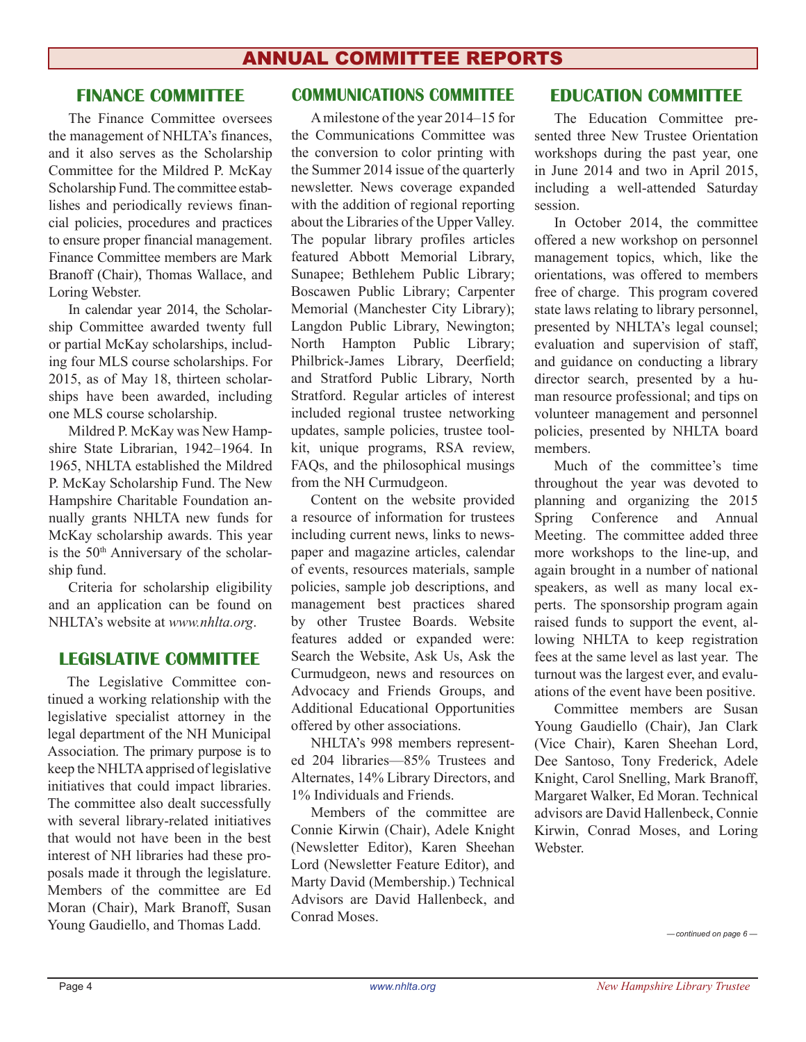## **FINANCE COMMITTEE**

The Finance Committee oversees the management of NHLTA's finances, and it also serves as the Scholarship Committee for the Mildred P. McKay Scholarship Fund.The committee establishes and periodically reviews financial policies, procedures and practices to ensure proper financial management. Finance Committee members are Mark Branoff (Chair), Thomas Wallace, and Loring Webster.

In calendar year 2014, the Scholarship Committee awarded twenty full or partial McKay scholarships, including four MLS course scholarships. For 2015, as of May 18, thirteen scholarships have been awarded, including one MLS course scholarship.

Mildred P. McKay was New Hampshire State Librarian, 1942–1964. In 1965, NHLTA established the Mildred P. McKay Scholarship Fund. The New Hampshire Charitable Foundation annually grants NHLTA new funds for McKay scholarship awards. This year is the  $50<sup>th</sup>$  Anniversary of the scholarship fund.

Criteria for scholarship eligibility and an application can be found on NHLTA's website at *www.nhlta.org*.

## **Legislative Committee**

The Legislative Committee continued a working relationship with the legislative specialist attorney in the legal department of the NH Municipal Association. The primary purpose is to keep the NHLTAapprised of legislative initiatives that could impact libraries. The committee also dealt successfully with several library-related initiatives that would not have been in the best interest of NH libraries had these proposals made it through the legislature. Members of the committee are Ed Moran (Chair), Mark Branoff, Susan Young Gaudiello, and Thomas Ladd.  $\frac{1}{2}$   $\frac{1}{2}$   $\frac{1}{2}$   $\frac{1}{2}$   $\frac{1}{2}$   $\frac{1}{2}$   $\frac{1}{2}$   $\frac{1}{2}$   $\frac{1}{2}$   $\frac{1}{2}$   $\frac{1}{2}$   $\frac{1}{2}$   $\frac{1}{2}$   $\frac{1}{2}$   $\frac{1}{2}$   $\frac{1}{2}$   $\frac{1}{2}$   $\frac{1}{2}$   $\frac{1}{2}$ 

## **Communications Committee**

Amilestone of the year 2014–15 for the Communications Committee was the conversion to color printing with the Summer 2014 issue of the quarterly newsletter. News coverage expanded with the addition of regional reporting about the Libraries of the Upper Valley. The popular library profiles articles featured Abbott Memorial Library, Sunapee; Bethlehem Public Library; Boscawen Public Library; Carpenter Memorial (Manchester City Library); Langdon Public Library, Newington; North Hampton Public Library; Philbrick-James Library, Deerfield; and Stratford Public Library, North Stratford. Regular articles of interest included regional trustee networking updates, sample policies, trustee toolkit, unique programs, RSA review, FAQs, and the philosophical musings from the NH Curmudgeon.

Content on the website provided a resource of information for trustees including current news, links to newspaper and magazine articles, calendar of events, resources materials, sample policies, sample job descriptions, and management best practices shared by other Trustee Boards. Website features added or expanded were: Search the Website, Ask Us, Ask the Curmudgeon, news and resources on Advocacy and Friends Groups, and Additional Educational Opportunities offered by other associations.

NHLTA's 998 members represented 204 libraries—85% Trustees and Alternates, 14% Library Directors, and 1% Individuals and Friends.

Members of the committee are Connie Kirwin (Chair), Adele Knight (Newsletter Editor), Karen Sheehan Lord (Newsletter Feature Editor), and Marty David (Membership.) Technical Advisors are David Hallenbeck, and Conrad Moses.

## **Education Committee**

The Education Committee presented three New Trustee Orientation workshops during the past year, one in June 2014 and two in April 2015, including a well-attended Saturday session.

In October 2014, the committee offered a new workshop on personnel management topics, which, like the orientations, was offered to members free of charge. This program covered state laws relating to library personnel, presented by NHLTA's legal counsel; evaluation and supervision of staff, and guidance on conducting a library director search, presented by a human resource professional; and tips on volunteer management and personnel policies, presented by NHLTA board members.

Much of the committee's time throughout the year was devoted to planning and organizing the 2015 Spring Conference and Annual Meeting. The committee added three more workshops to the line-up, and again brought in a number of national speakers, as well as many local experts. The sponsorship program again raised funds to support the event, allowing NHLTA to keep registration fees at the same level as last year. The turnout was the largest ever, and evaluations of the event have been positive.

Committee members are Susan Young Gaudiello (Chair), Jan Clark (Vice Chair), Karen Sheehan Lord, Dee Santoso, Tony Frederick, Adele Knight, Carol Snelling, Mark Branoff, Margaret Walker, Ed Moran. Technical advisors are David Hallenbeck, Connie Kirwin, Conrad Moses, and Loring Webster.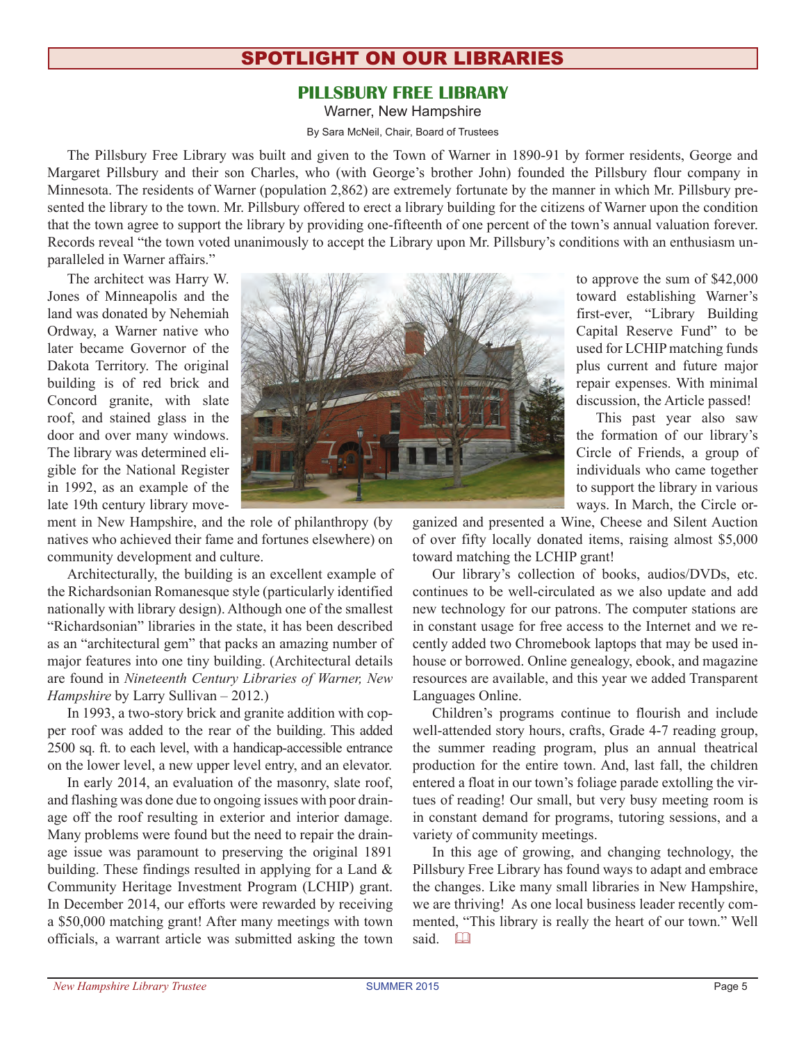## spotlight on our libraries

## **PILLSBURY FREE LIBRARY**

Warner, New Hampshire

By Sara McNeil, Chair, Board of Trustees

The Pillsbury Free Library was built and given to the Town of Warner in 1890-91 by former residents, George and Margaret Pillsbury and their son Charles, who (with George's brother John) founded the Pillsbury flour company in Minnesota. The residents of Warner (population 2,862) are extremely fortunate by the manner in which Mr. Pillsbury presented the library to the town. Mr. Pillsbury offered to erect a library building for the citizens of Warner upon the condition that the town agree to support the library by providing one-fifteenth of one percent of the town's annual valuation forever. Records reveal "the town voted unanimously to accept the Library upon Mr. Pillsbury's conditions with an enthusiasm unparalleled in Warner affairs."

The architect was Harry W. Jones of Minneapolis and the land was donated by Nehemiah Ordway, a Warner native who later became Governor of the Dakota Territory. The original building is of red brick and Concord granite, with slate roof, and stained glass in the door and over many windows. The library was determined eligible for the National Register in 1992, as an example of the late 19th century library move-



ment in New Hampshire, and the role of philanthropy (by natives who achieved their fame and fortunes elsewhere) on community development and culture.

Architecturally, the building is an excellent example of the Richardsonian Romanesque style (particularly identified nationally with library design). Although one of the smallest "Richardsonian" libraries in the state, it has been described as an "architectural gem" that packs an amazing number of major features into one tiny building. (Architectural details are found in *Nineteenth Century Libraries of Warner, New Hampshire* by Larry Sullivan – 2012.)

In 1993, a two-story brick and granite addition with copper roof was added to the rear of the building. This added 2500 sq. ft. to each level, with a handicap-accessible entrance on the lower level, a new upper level entry, and an elevator.

In early 2014, an evaluation of the masonry, slate roof, and flashing was done due to ongoing issues with poor drainage off the roof resulting in exterior and interior damage. Many problems were found but the need to repair the drainage issue was paramount to preserving the original 1891 building. These findings resulted in applying for a Land & Community Heritage Investment Program (LCHIP) grant. In December 2014, our efforts were rewarded by receiving a \$50,000 matching grant! After many meetings with town officials, a warrant article was submitted asking the town

to approve the sum of \$42,000 toward establishing Warner's first-ever, "Library Building Capital Reserve Fund" to be used for LCHIP matching funds plus current and future major repair expenses. With minimal discussion, the Article passed!

This past year also saw the formation of our library's Circle of Friends, a group of individuals who came together to support the library in various ways. In March, the Circle or-

ganized and presented a Wine, Cheese and Silent Auction of over fifty locally donated items, raising almost \$5,000 toward matching the LCHIP grant!

Our library's collection of books, audios/DVDs, etc. continues to be well-circulated as we also update and add new technology for our patrons. The computer stations are in constant usage for free access to the Internet and we recently added two Chromebook laptops that may be used inhouse or borrowed. Online genealogy, ebook, and magazine resources are available, and this year we added Transparent Languages Online.

Children's programs continue to flourish and include well-attended story hours, crafts, Grade 4-7 reading group, the summer reading program, plus an annual theatrical production for the entire town. And, last fall, the children entered a float in our town's foliage parade extolling the virtues of reading! Our small, but very busy meeting room is in constant demand for programs, tutoring sessions, and a variety of community meetings.

In this age of growing, and changing technology, the Pillsbury Free Library has found ways to adapt and embrace the changes. Like many small libraries in New Hampshire, we are thriving! As one local business leader recently commented, "This library is really the heart of our town." Well said. <sup>Q</sup>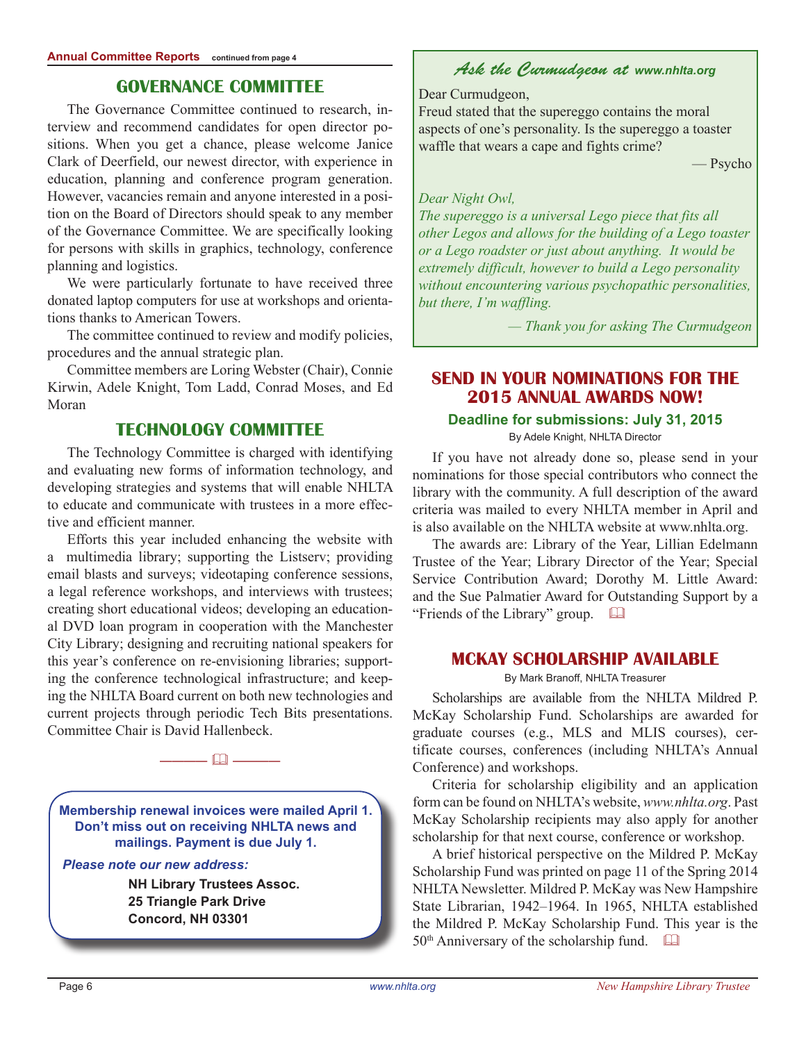## **Governance Committee**

The Governance Committee continued to research, interview and recommend candidates for open director positions. When you get a chance, please welcome Janice Clark of Deerfield, our newest director, with experience in education, planning and conference program generation. However, vacancies remain and anyone interested in a position on the Board of Directors should speak to any member of the Governance Committee. We are specifically looking for persons with skills in graphics, technology, conference planning and logistics.

We were particularly fortunate to have received three donated laptop computers for use at workshops and orientations thanks to American Towers.

The committee continued to review and modify policies, procedures and the annual strategic plan.

Committee members are Loring Webster (Chair), Connie Kirwin, Adele Knight, Tom Ladd, Conrad Moses, and Ed Moran

## **Technology Committee**

The Technology Committee is charged with identifying and evaluating new forms of information technology, and developing strategies and systems that will enable NHLTA to educate and communicate with trustees in a more effective and efficient manner.

Efforts this year included enhancing the website with a multimedia library; supporting the Listserv; providing email blasts and surveys; videotaping conference sessions, a legal reference workshops, and interviews with trustees; creating short educational videos; developing an educational DVD loan program in cooperation with the Manchester City Library; designing and recruiting national speakers for this year's conference on re-envisioning libraries; supporting the conference technological infrastructure; and keeping the NHLTA Board current on both new technologies and current projects through periodic Tech Bits presentations. Committee Chair is David Hallenbeck.

**Membership renewal invoices were mailed April 1. Don't miss out on receiving NHLTA news and mailings. Payment is due July 1.**

———— & ————

#### *Please note our new address:*

**NH Library Trustees Assoc. 25 Triangle Park Drive Concord, NH 03301**

## *Ask the Curmudgeon at www.nhlta.org*

#### Dear Curmudgeon,

Freud stated that the supereggo contains the moral aspects of one's personality. Is the supereggo a toaster waffle that wears a cape and fights crime?

— Psycho

#### *Dear Night Owl,*

*The supereggo is a universal Lego piece that fits all other Legos and allows for the building of a Lego toaster or a Lego roadster or just about anything. It would be extremely difficult, however to build a Lego personality without encountering various psychopathic personalities, but there, I'm waffling.*

*— Thank you for asking The Curmudgeon*

## **SEND IN YOUR NOMINATIONS FOR THE 2015 ANNUAL AWARDS NOW!**

#### **Deadline for submissions: July 31, 2015**

By Adele Knight, NHLTA Director

If you have not already done so, please send in your nominations for those special contributors who connect the library with the community. A full description of the award criteria was mailed to every NHLTA member in April and is also available on the NHLTA website at www.nhlta.org.

The awards are: Library of the Year, Lillian Edelmann Trustee of the Year; Library Director of the Year; Special Service Contribution Award; Dorothy M. Little Award: and the Sue Palmatier Award for Outstanding Support by a "Friends of the Library" group.  $\Box$ 

## **mckay scholarship available**

By Mark Branoff, NHLTA Treasurer

Scholarships are available from the NHLTA Mildred P. McKay Scholarship Fund. Scholarships are awarded for graduate courses (e.g., MLS and MLIS courses), certificate courses, conferences (including NHLTA's Annual Conference) and workshops.

Criteria for scholarship eligibility and an application form can be found on NHLTA's website, *www.nhlta.org*. Past McKay Scholarship recipients may also apply for another scholarship for that next course, conference or workshop.

A brief historical perspective on the Mildred P. McKay Scholarship Fund was printed on page 11 of the Spring 2014 NHLTA Newsletter. Mildred P. McKay was New Hampshire State Librarian, 1942–1964. In 1965, NHLTA established the Mildred P. McKay Scholarship Fund. This year is the  $50<sup>th</sup>$  Anniversary of the scholarship fund.  $\Box$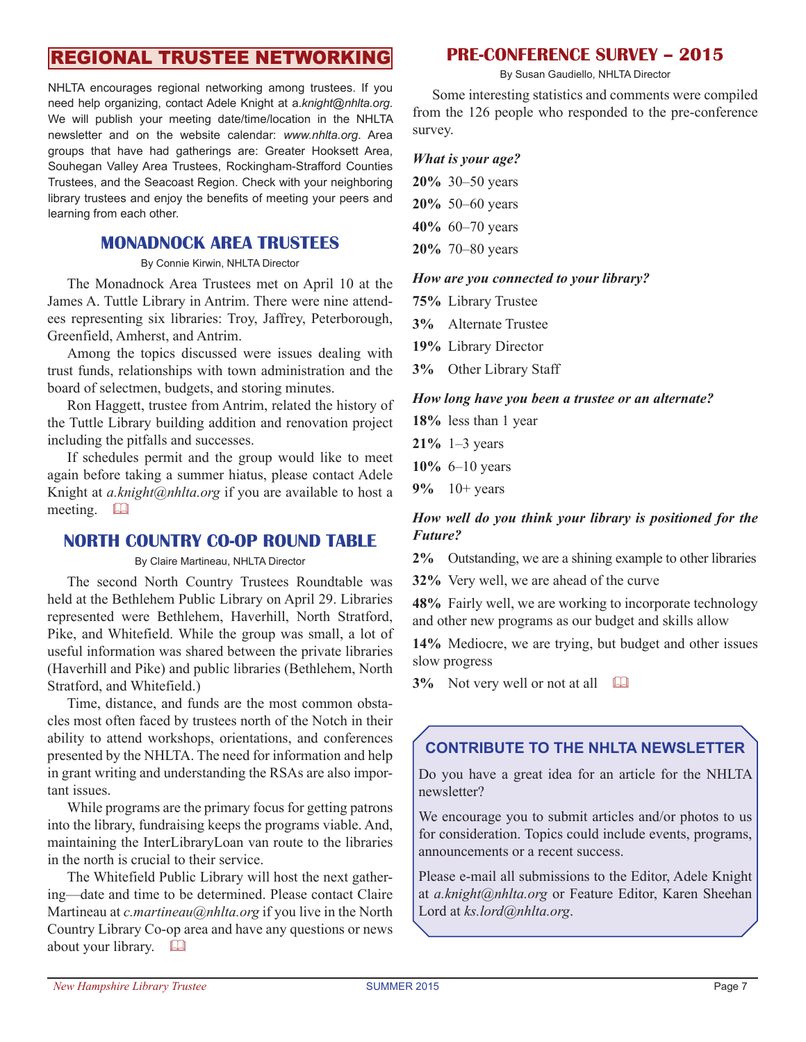# regional trustee networking

NHLTA encourages regional networking among trustees. If you need help organizing, contact Adele Knight at a.*knight@nhlta.org*. We will publish your meeting date/time/location in the NHLTA newsletter and on the website calendar: *www.nhlta.org*. Area groups that have had gatherings are: Greater Hooksett Area, Souhegan Valley Area Trustees, Rockingham-Strafford Counties Trustees, and the Seacoast Region. Check with your neighboring library trustees and enjoy the benefits of meeting your peers and learning from each other.

## **Monadnock Area Trustees**

By Connie Kirwin, NHLTA Director

The Monadnock Area Trustees met on April 10 at the James A. Tuttle Library in Antrim. There were nine attendees representing six libraries: Troy, Jaffrey, Peterborough, Greenfield, Amherst, and Antrim.

Among the topics discussed were issues dealing with trust funds, relationships with town administration and the board of selectmen, budgets, and storing minutes.

Ron Haggett, trustee from Antrim, related the history of the Tuttle Library building addition and renovation project including the pitfalls and successes.

If schedules permit and the group would like to meet again before taking a summer hiatus, please contact Adele Knight at *a.knight@nhlta.org* if you are available to host a meeting.  $\Box$ 

## **NORTH COUNTRY CO-OP ROUND TABLE**

By Claire Martineau, NHLTA Director

The second North Country Trustees Roundtable was held at the Bethlehem Public Library on April 29. Libraries represented were Bethlehem, Haverhill, North Stratford, Pike, and Whitefield. While the group was small, a lot of useful information was shared between the private libraries (Haverhill and Pike) and public libraries (Bethlehem, North Stratford, and Whitefield.)

Time, distance, and funds are the most common obstacles most often faced by trustees north of the Notch in their ability to attend workshops, orientations, and conferences presented by the NHLTA. The need for information and help in grant writing and understanding the RSAs are also important issues.

While programs are the primary focus for getting patrons into the library, fundraising keeps the programs viable. And, maintaining the InterLibraryLoan van route to the libraries in the north is crucial to their service.

The Whitefield Public Library will host the next gathering—date and time to be determined. Please contact Claire Martineau at *c.martineau@nhlta.org* if you live in the North Country Library Co-op area and have any questions or news about your library.  $\Box$ 

## **PRE-CONFERENCE SURVEY – 2015**

By Susan Gaudiello, NHLTA Director

Some interesting statistics and comments were compiled from the 126 people who responded to the pre-conference survey.

#### *What is your age?*

- **20%** 30–50 years
- **20%** 50–60 years
- **40%** 60–70 years
- **20%** 70–80 years

#### *How are you connected to your library?*

**75%** Library Trustee

- **3%** Alternate Trustee
- **19%** Library Director
- **3%** Other Library Staff

#### *How long have you been a trustee or an alternate?*

- **18%** less than 1 year
- **21%** 1–3 years
- **10%** 6–10 years
- **9%** 10+ years

### *How well do you think your library is positioned for the Future?*

**2%** Outstanding, we are a shining example to other libraries

**32%** Very well, we are ahead of the curve

**48%** Fairly well, we are working to incorporate technology and other new programs as our budget and skills allow

14% Mediocre, we are trying, but budget and other issues slow progress

**3%** Not very well or not at all  $\Box$ 

## **CONTRIBUTE TO THE NHLTA NEWSLETTER**

Do you have a great idea for an article for the NHLTA newsletter?

We encourage you to submit articles and/or photos to us for consideration. Topics could include events, programs, announcements or a recent success.

Please e-mail all submissions to the Editor, Adele Knight at *a.knight@nhlta.org* or Feature Editor, Karen Sheehan Lord at *ks.lord@nhlta.org*.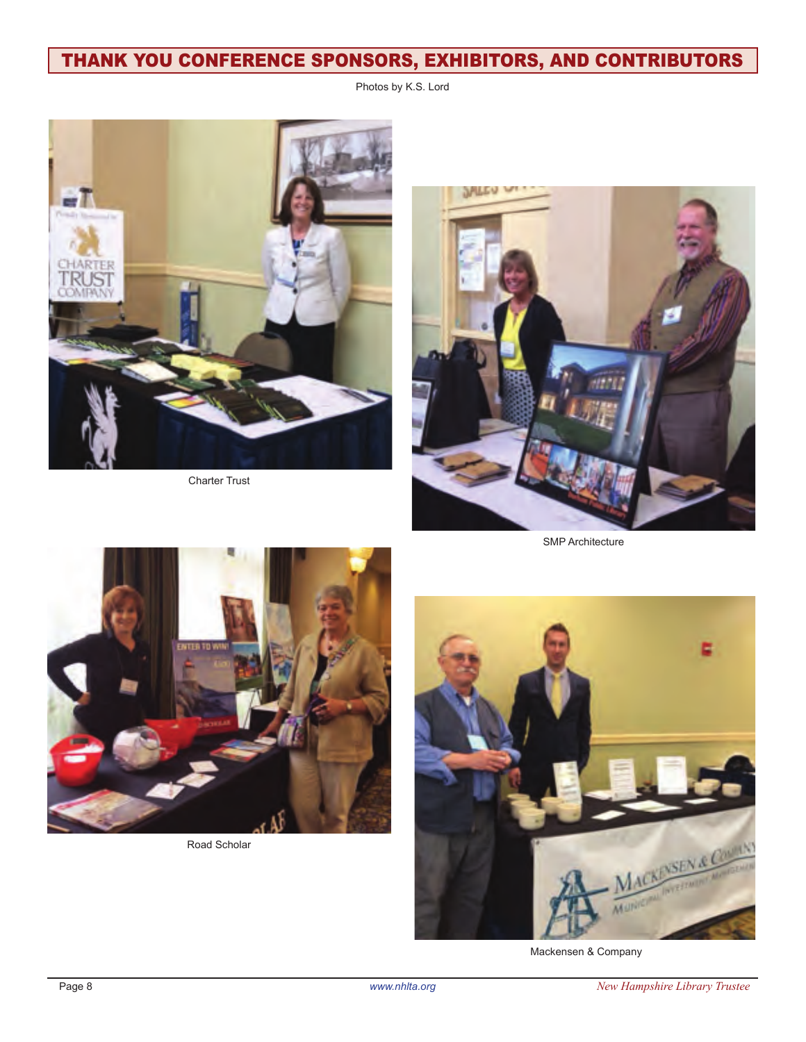# thank you conference sponsors, exhibitors, and contributors

Photos by K.S. Lord



Charter Trust



SMP Architecture



Road Scholar



Mackensen & Company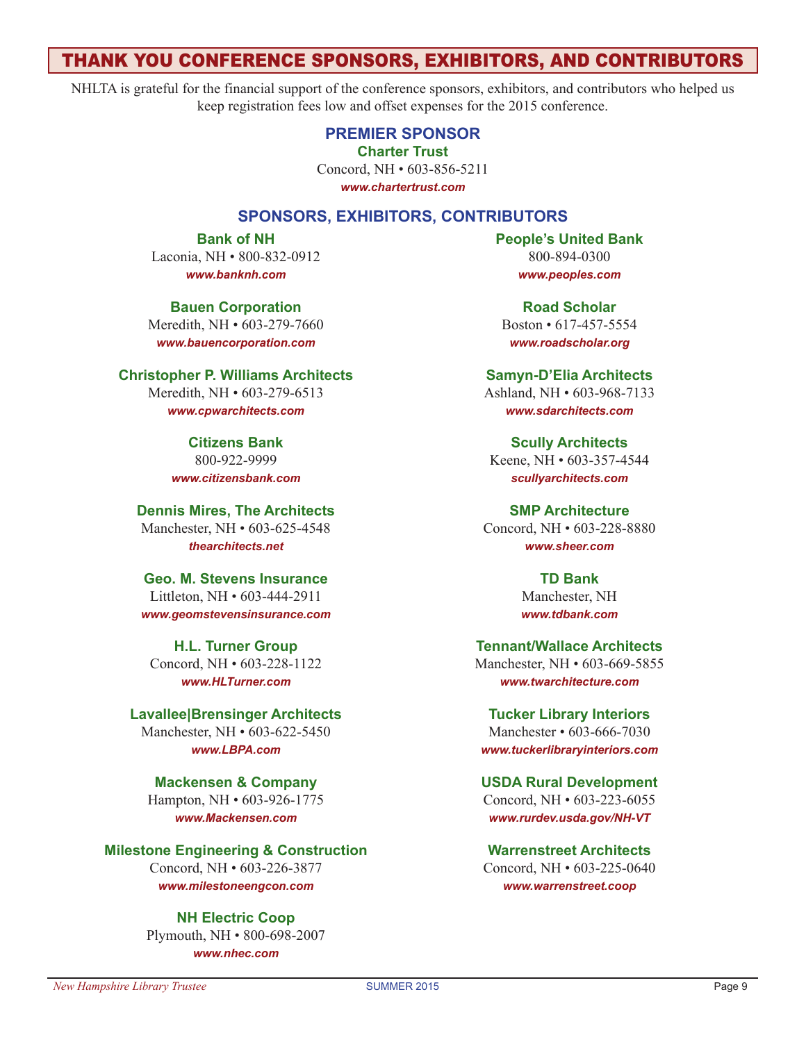## thank you conference sponsors, exhibitors, and contributors

NHLTA is grateful for the financial support of the conference sponsors, exhibitors, and contributors who helped us keep registration fees low and offset expenses for the 2015 conference.

> **Premier Sponsor Charter Trust**

Concord, NH • 603-856-5211

*www.chartertrust.com*

## **Sponsors, Exhibitors, Contributors**

**Bank of NH** Laconia, NH • 800-832-0912 *www.banknh.com*

**Bauen Corporation** Meredith, NH • 603-279-7660 *www.bauencorporation.com*

**Christopher P. Williams Architects**  Meredith, NH • 603-279-6513 *www.cpwarchitects.com*

> **Citizens Bank** 800-922-9999 *www.citizensbank.com*

**Dennis Mires, The Architects** Manchester, NH • 603-625-4548 *thearchitects.net*

**Geo. M. Stevens Insurance** Littleton, NH • 603-444-2911 *www.geomstevensinsurance.com*

**H.L. Turner Group** Concord, NH • 603-228-1122 *www.HLTurner.com*

**Lavallee|Brensinger Architects** Manchester, NH • 603-622-5450 *www.LBPA.com*

**Mackensen & Company** Hampton, NH • 603-926-1775 *www.Mackensen.com*

**Milestone Engineering & Construction** Concord, NH • 603-226-3877 *www.milestoneengcon.com*

> **NH Electric Coop** Plymouth, NH • 800-698-2007 *www.nhec.com*

**People's United Bank** 800-894-0300 *www.peoples.com*

**Road Scholar** Boston • 617-457-5554 *www.roadscholar.org*

**Samyn-D'Elia Architects** Ashland, NH • 603-968-7133 *www.sdarchitects.com*

**Scully Architects** Keene, NH • 603-357-4544 *scullyarchitects.com*

**SMP Architecture** Concord, NH • 603-228-8880 *www.sheer.com*

> **TD Bank** Manchester, NH *www.tdbank.com*

**Tennant/Wallace Architects** Manchester, NH • 603-669-5855 *www.twarchitecture.com*

**Tucker Library Interiors** Manchester • 603-666-7030 *www.tuckerlibraryinteriors.com*

**USDA Rural Development** Concord, NH • 603-223-6055 *www.rurdev.usda.gov/NH-VT*

**Warrenstreet Architects** Concord, NH • 603-225-0640 *www.warrenstreet.coop*

#### *New Hampshire Library Trustee* SUMMER 2015 Page 9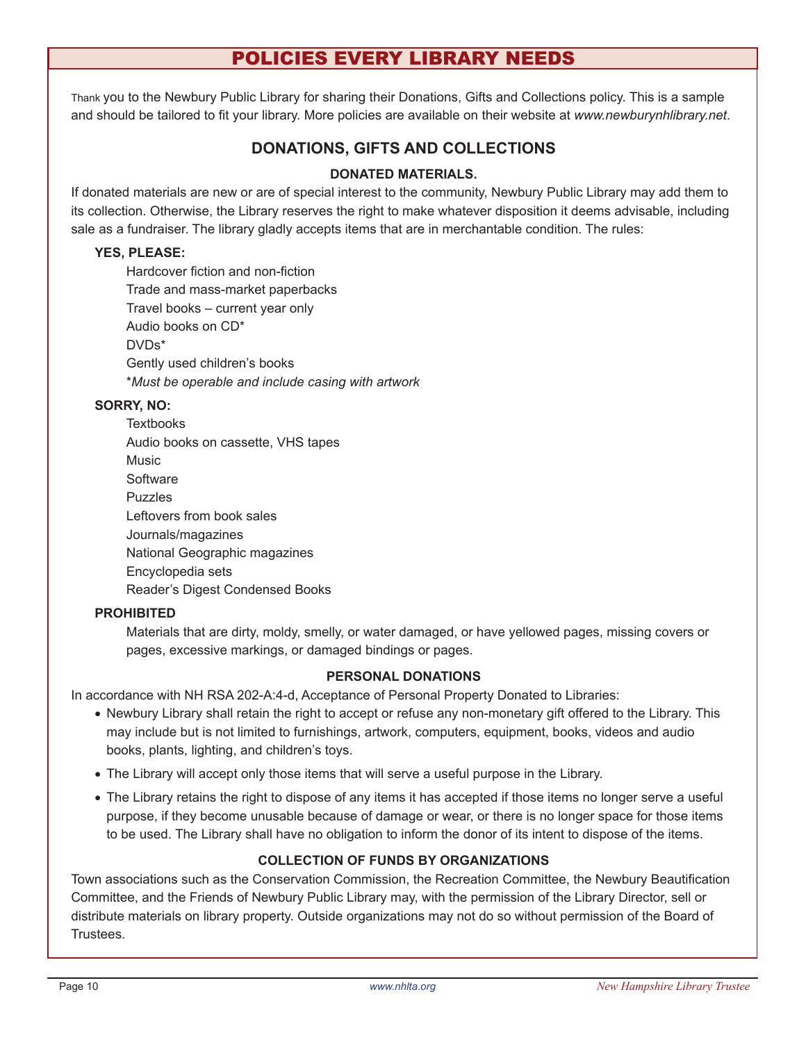## policies every library needs

Thank you to the Newbury Public Library for sharing their Donations, Gifts and Collections policy. This is a sample and should be tailored to fit your library. More policies are available on their website at *www.newburynhlibrary.net*.

## **DONATIONS, GIFTS AND COLLECTIONS**

## **DONATED MATERIALS.**

If donated materials are new or are of special interest to the community, Newbury Public Library may add them to its collection. Otherwise, the Library reserves the right to make whatever disposition it deems advisable, including sale as a fundraiser. The library gladly accepts items that are in merchantable condition. The rules:

#### **YES, PLEASE:**

Hardcover fiction and non-fiction Trade and mass-market paperbacks Travel books – current year only Audio books on CD\* DVDs\* Gently used children's books \**Must be operable and include casing with artwork*

#### **SORRY, NO:**

| Textbooks                          |
|------------------------------------|
| Audio books on cassette, VHS tapes |
| Music                              |
| Software                           |
| Puzzles                            |
| Leftovers from book sales          |
| Journals/magazines                 |
| National Geographic magazines      |
| Encyclopedia sets                  |
| Reader's Digest Condensed Books    |

## **PROHIBITED**

Materials that are dirty, moldy, smelly, or water damaged, or have yellowed pages, missing covers or pages, excessive markings, or damaged bindings or pages.

#### **PERSONAL DONATIONS**

In accordance with NH RSA 202-A:4-d, Acceptance of Personal Property Donated to Libraries:

- • Newbury Library shall retain the right to accept or refuse any non-monetary gift offered to the Library. This may include but is not limited to furnishings, artwork, computers, equipment, books, videos and audio books, plants, lighting, and children's toys.
- • The Library will accept only those items that will serve a useful purpose in the Library.
- The Library retains the right to dispose of any items it has accepted if those items no longer serve a useful purpose, if they become unusable because of damage or wear, or there is no longer space for those items to be used. The Library shall have no obligation to inform the donor of its intent to dispose of the items.

## **COLLECTION OF FUNDS BY ORGANIZATIONS**

Town associations such as the Conservation Commission, the Recreation Committee, the Newbury Beautification Committee, and the Friends of Newbury Public Library may, with the permission of the Library Director, sell or distribute materials on library property. Outside organizations may not do so without permission of the Board of Trustees.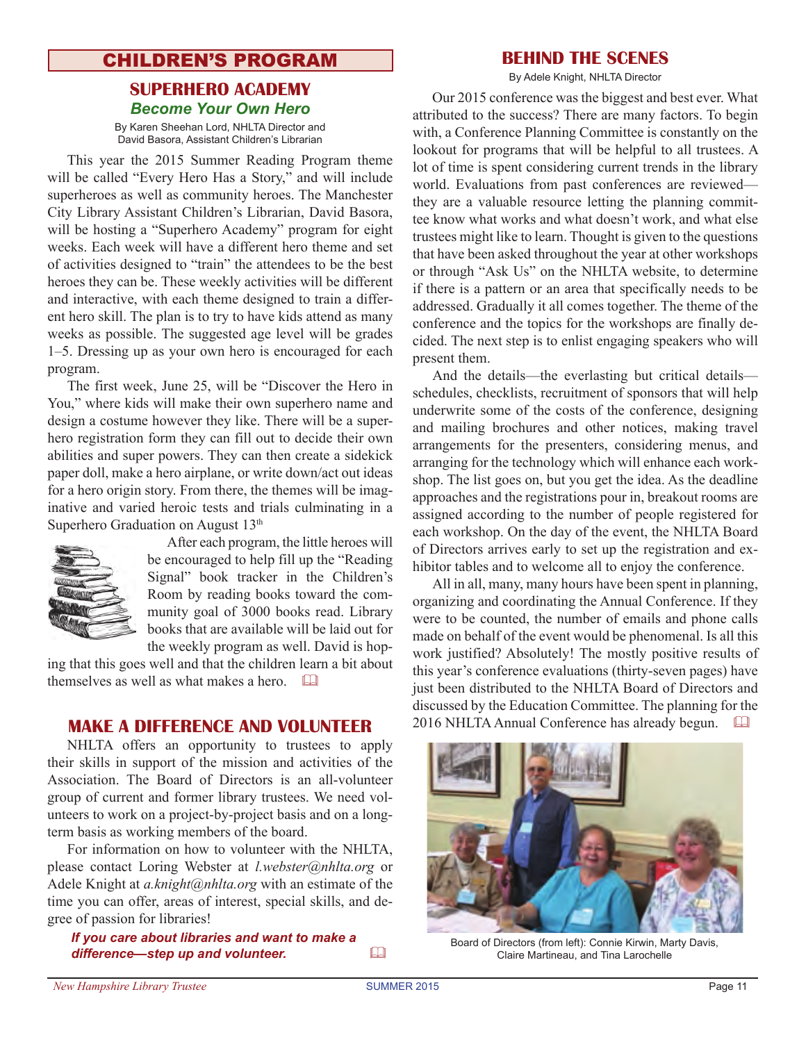## **CHILDREN'S PROGRAM BEHIND THE SCENES**

## **Superhero Academy** *Become Your Own Hero*

By Karen Sheehan Lord, NHLTA Director and David Basora, Assistant Children's Librarian

This year the 2015 Summer Reading Program theme will be called "Every Hero Has a Story," and will include superheroes as well as community heroes. The Manchester City Library Assistant Children's Librarian, David Basora, will be hosting a "Superhero Academy" program for eight weeks. Each week will have a different hero theme and set of activities designed to "train" the attendees to be the best heroes they can be. These weekly activities will be different and interactive, with each theme designed to train a different hero skill. The plan is to try to have kids attend as many weeks as possible. The suggested age level will be grades 1–5. Dressing up as your own hero is encouraged for each program.

The first week, June 25, will be "Discover the Hero in You," where kids will make their own superhero name and design a costume however they like. There will be a superhero registration form they can fill out to decide their own abilities and super powers. They can then create a sidekick paper doll, make a hero airplane, or write down/act out ideas for a hero origin story. From there, the themes will be imaginative and varied heroic tests and trials culminating in a Superhero Graduation on August 13<sup>th</sup>



After each program, the little heroes will be encouraged to help fill up the "Reading Signal" book tracker in the Children's Room by reading books toward the community goal of 3000 books read. Library books that are available will be laid out for the weekly program as well. David is hop-

ing that this goes well and that the children learn a bit about themselves as well as what makes a hero.  $\square$ 

NHLTA offers an opportunity to trustees to apply their skills in support of the mission and activities of the Association. The Board of Directors is an all-volunteer group of current and former library trustees. We need volunteers to work on a project-by-project basis and on a longterm basis as working members of the board.

For information on how to volunteer with the NHLTA, please contact Loring Webster at *l.webster@nhlta.org* or Adele Knight at *a.knight@nhlta.org* with an estimate of the time you can offer, areas of interest, special skills, and degree of passion for libraries!

*If you care about libraries and want to make a*  difference—step up and volunteer.  $\Box$ 

By Adele Knight, NHLTA Director

Our 2015 conference was the biggest and best ever. What attributed to the success? There are many factors. To begin with, a Conference Planning Committee is constantly on the lookout for programs that will be helpful to all trustees. A lot of time is spent considering current trends in the library world. Evaluations from past conferences are reviewed they are a valuable resource letting the planning committee know what works and what doesn't work, and what else trustees might like to learn. Thought is given to the questions that have been asked throughout the year at other workshops or through "Ask Us" on the NHLTA website, to determine if there is a pattern or an area that specifically needs to be addressed. Gradually it all comes together. The theme of the conference and the topics for the workshops are finally decided. The next step is to enlist engaging speakers who will present them.

And the details—the everlasting but critical details schedules, checklists, recruitment of sponsors that will help underwrite some of the costs of the conference, designing and mailing brochures and other notices, making travel arrangements for the presenters, considering menus, and arranging for the technology which will enhance each workshop. The list goes on, but you get the idea. As the deadline approaches and the registrations pour in, breakout rooms are assigned according to the number of people registered for each workshop. On the day of the event, the NHLTA Board of Directors arrives early to set up the registration and exhibitor tables and to welcome all to enjoy the conference.

All in all, many, many hours have been spent in planning, organizing and coordinating the Annual Conference. If they were to be counted, the number of emails and phone calls made on behalf of the event would be phenomenal. Is all this work justified? Absolutely! The mostly positive results of this year's conference evaluations (thirty-seven pages) have just been distributed to the NHLTA Board of Directors and discussed by the Education Committee. The planning for the **MAKE A DIFFERENCE AND VOLUNTEER** 2016 NHLTA Annual Conference has already begun. <sup>[1]</sup>



Board of Directors (from left): Connie Kirwin, Marty Davis, Claire Martineau, and Tina Larochelle